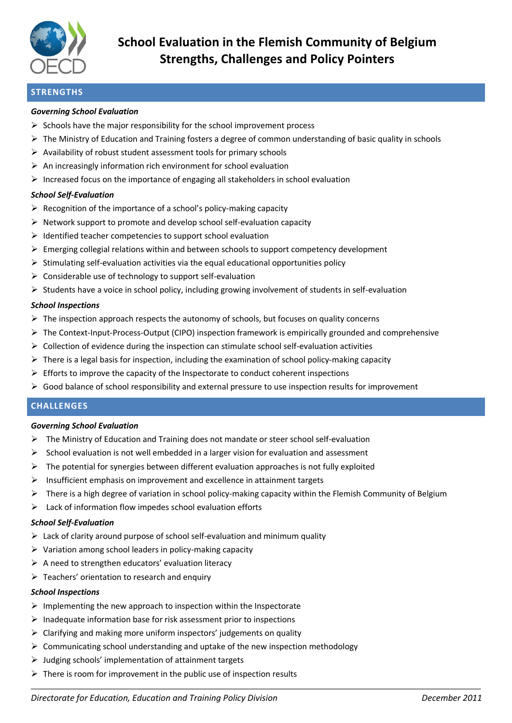

# **STRENGTHS**

## *Governing School Evaluation*

- $\triangleright$  Schools have the major responsibility for the school improvement process
- $\triangleright$  The Ministry of Education and Training fosters a degree of common understanding of basic quality in schools
- $\triangleright$  Availability of robust student assessment tools for primary schools
- $\triangleright$  An increasingly information rich environment for school evaluation
- $\triangleright$  Increased focus on the importance of engaging all stakeholders in school evaluation

## *School Self-Evaluation*

- $\triangleright$  Recognition of the importance of a school's policy-making capacity
- $\triangleright$  Network support to promote and develop school self-evaluation capacity
- $\triangleright$  Identified teacher competencies to support school evaluation
- $\triangleright$  Emerging collegial relations within and between schools to support competency development
- $\triangleright$  Stimulating self-evaluation activities via the equal educational opportunities policy
- $\triangleright$  Considerable use of technology to support self-evaluation
- $\triangleright$  Students have a voice in school policy, including growing involvement of students in self-evaluation

## *School Inspections*

- $\triangleright$  The inspection approach respects the autonomy of schools, but focuses on quality concerns
- $\triangleright$  The Context-Input-Process-Output (CIPO) inspection framework is empirically grounded and comprehensive
- $\triangleright$  Collection of evidence during the inspection can stimulate school self-evaluation activities
- $\triangleright$  There is a legal basis for inspection, including the examination of school policy-making capacity
- $\triangleright$  Efforts to improve the capacity of the Inspectorate to conduct coherent inspections
- $\triangleright$  Good balance of school responsibility and external pressure to use inspection results for improvement

# **CHALLENGES**

## *Governing School Evaluation*

- $\triangleright$  The Ministry of Education and Training does not mandate or steer school self-evaluation
- $\triangleright$  School evaluation is not well embedded in a larger vision for evaluation and assessment
- $\triangleright$  The potential for synergies between different evaluation approaches is not fully exploited
- $\triangleright$  Insufficient emphasis on improvement and excellence in attainment targets
- $\triangleright$  There is a high degree of variation in school policy-making capacity within the Flemish Community of Belgium
- $\triangleright$  Lack of information flow impedes school evaluation efforts

## *School Self-Evaluation*

- $\triangleright$  Lack of clarity around purpose of school self-evaluation and minimum quality
- $\triangleright$  Variation among school leaders in policy-making capacity
- $\triangleright$  A need to strengthen educators' evaluation literacy
- $\triangleright$  Teachers' orientation to research and enquiry

## *School Inspections*

- $\triangleright$  Implementing the new approach to inspection within the Inspectorate
- $\triangleright$  Inadequate information base for risk assessment prior to inspections
- $\triangleright$  Clarifying and making more uniform inspectors' judgements on quality
- $\triangleright$  Communicating school understanding and uptake of the new inspection methodology
- $\triangleright$  Judging schools' implementation of attainment targets
- $\triangleright$  There is room for improvement in the public use of inspection results